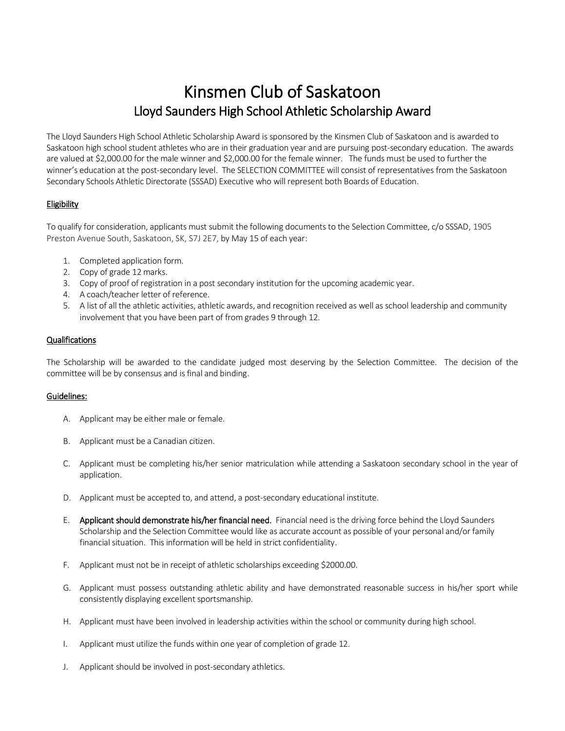# Kinsmen Club of Saskatoon Lloyd Saunders High School Athletic Scholarship Award

The Lloyd Saunders High School Athletic Scholarship Award is sponsored by the Kinsmen Club of Saskatoon and is awarded to Saskatoon high school student athletes who are in their graduation year and are pursuing post-secondary education. The awards are valued at \$2,000.00 for the male winner and \$2,000.00 for the female winner. The funds must be used to further the winner's education at the post-secondary level. The SELECTION COMMITTEE will consist of representatives from the Saskatoon Secondary Schools Athletic Directorate (SSSAD) Executive who will represent both Boards of Education.

### Eligibility

To qualify for consideration, applicants must submit the following documents to the Selection Committee, c/o SSSAD, 1905 Preston Avenue South, Saskatoon, SK, S7J 2E7, by May 15 of each year:

- 1. Completed application form.
- 2. Copy of grade 12 marks.
- 3. Copy of proof of registration in a post secondary institution for the upcoming academic year.
- 4. A coach/teacher letter of reference.
- 5. A list of all the athletic activities, athletic awards, and recognition received as well as school leadership and community involvement that you have been part of from grades 9 through 12.

### **Qualifications**

The Scholarship will be awarded to the candidate judged most deserving by the Selection Committee. The decision of the committee will be by consensus and isfinal and binding.

#### Guidelines:

- A. Applicant may be either male or female.
- B. Applicant must be a Canadian citizen.
- C. Applicant must be completing his/her senior matriculation while attending a Saskatoon secondary school in the year of application.
- D. Applicant must be accepted to, and attend, a post-secondary educational institute.
- E. Applicant should demonstrate his/her financial need. Financial need is the driving force behind the Lloyd Saunders Scholarship and the Selection Committee would like as accurate account as possible of your personal and/or family financial situation. This information will be held in strict confidentiality.
- F. Applicant must not be in receipt of athletic scholarships exceeding \$2000.00.
- G. Applicant must possess outstanding athletic ability and have demonstrated reasonable success in his/her sport while consistently displaying excellent sportsmanship.
- H. Applicant must have been involved in leadership activities within the school or community during high school.
- I. Applicant must utilize the funds within one year of completion of grade 12.
- J. Applicant should be involved in post-secondary athletics.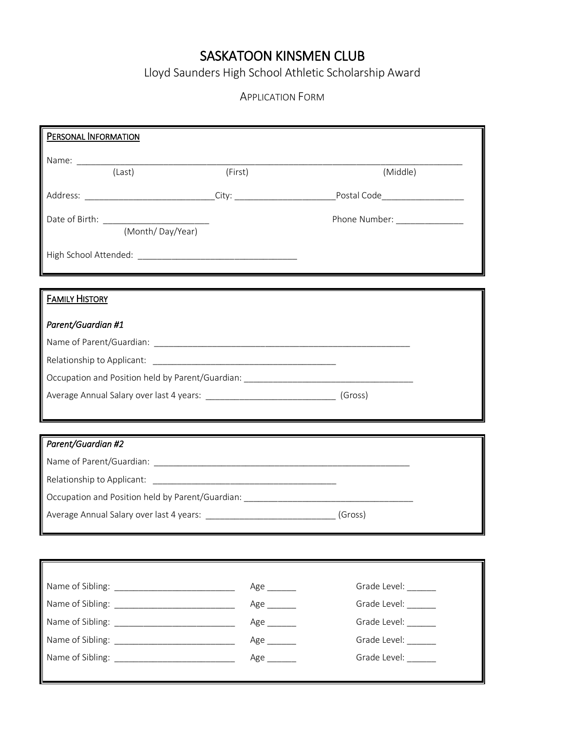# SASKATOON KINSMEN CLUB

Lloyd Saunders High School Athletic Scholarship Award

## APPLICATION FORM

| PERSONAL INFORMATION                                                             |                             |                               |  |  |
|----------------------------------------------------------------------------------|-----------------------------|-------------------------------|--|--|
|                                                                                  |                             |                               |  |  |
| (Last)                                                                           | (First)                     | (Middle)                      |  |  |
|                                                                                  |                             |                               |  |  |
| Date of Birth: <u>(Month/Day/Year)</u>                                           |                             | Phone Number: _______________ |  |  |
|                                                                                  |                             |                               |  |  |
|                                                                                  |                             |                               |  |  |
|                                                                                  |                             |                               |  |  |
| <b>FAMILY HISTORY</b>                                                            |                             |                               |  |  |
| Parent/Guardian #1                                                               |                             |                               |  |  |
|                                                                                  |                             |                               |  |  |
|                                                                                  |                             |                               |  |  |
| Occupation and Position held by Parent/Guardian: _______________________________ |                             |                               |  |  |
|                                                                                  |                             |                               |  |  |
|                                                                                  |                             |                               |  |  |
| Parent/Guardian #2                                                               |                             |                               |  |  |
|                                                                                  |                             |                               |  |  |
|                                                                                  |                             |                               |  |  |
| Occupation and Position held by Parent/Guardian: _______________________________ |                             |                               |  |  |
| Average Annual Salary over last 4 years: ________________________________(Gross) |                             |                               |  |  |
|                                                                                  |                             |                               |  |  |
|                                                                                  |                             |                               |  |  |
|                                                                                  |                             |                               |  |  |
|                                                                                  | Age $\_\_\_\_\_\_\_\_\$     | Grade Level: ______           |  |  |
|                                                                                  | $Age$ <sub>_________</sub>  | Grade Level: ______           |  |  |
|                                                                                  | $Age$ <sub>__________</sub> | Grade Level: ______           |  |  |
|                                                                                  | $Age$ <sub>_________</sub>  | Grade Level: _______          |  |  |
|                                                                                  | $Age$ <sub>_________</sub>  | Grade Level:                  |  |  |
|                                                                                  |                             |                               |  |  |